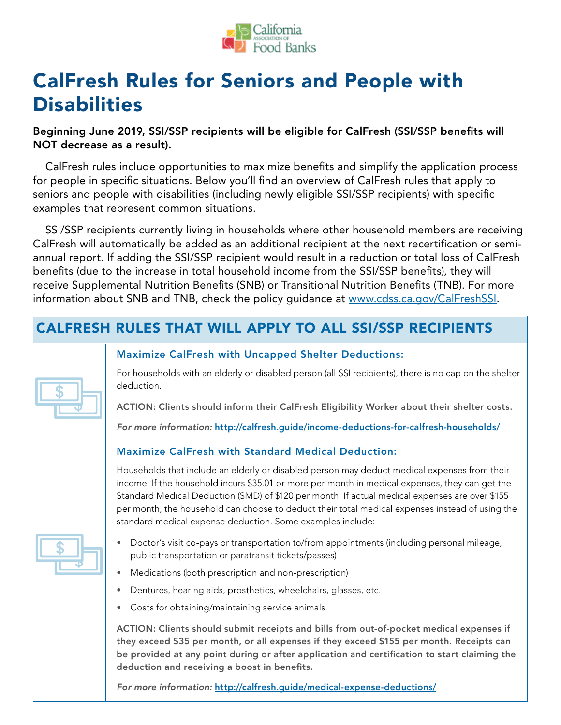

# CalFresh Rules for Seniors and People with **Disabilities**

Beginning June 2019, SSI/SSP recipients will be eligible for CalFresh (SSI/SSP benefits will NOT decrease as a result).

CalFresh rules include opportunities to maximize benefits and simplify the application process for people in specific situations. Below you'll find an overview of CalFresh rules that apply to seniors and people with disabilities (including newly eligible SSI/SSP recipients) with specific examples that represent common situations.

SSI/SSP recipients currently living in households where other household members are receiving CalFresh will automatically be added as an additional recipient at the next recertification or semiannual report. If adding the SSI/SSP recipient would result in a reduction or total loss of CalFresh benefits (due to the increase in total household income from the SSI/SSP benefits), they will receive Supplemental Nutrition Benefits (SNB) or Transitional Nutrition Benefits (TNB). For more information about SNB and TNB, check the policy guidance at [www.cdss.ca.gov/CalFreshSSI](http://www.cdss.ca.gov/CalFreshSSI).

| <b>CALFRESH RULES THAT WILL APPLY TO ALL SSI/SSP RECIPIENTS</b> |                                                                                                                                                                                                                                                                                                                                                                                                                                                                    |  |  |
|-----------------------------------------------------------------|--------------------------------------------------------------------------------------------------------------------------------------------------------------------------------------------------------------------------------------------------------------------------------------------------------------------------------------------------------------------------------------------------------------------------------------------------------------------|--|--|
|                                                                 | <b>Maximize CalFresh with Uncapped Shelter Deductions:</b>                                                                                                                                                                                                                                                                                                                                                                                                         |  |  |
|                                                                 | For households with an elderly or disabled person (all SSI recipients), there is no cap on the shelter<br>deduction.                                                                                                                                                                                                                                                                                                                                               |  |  |
|                                                                 | ACTION: Clients should inform their CalFresh Eligibility Worker about their shelter costs.                                                                                                                                                                                                                                                                                                                                                                         |  |  |
|                                                                 | For more information: http://calfresh.quide/income-deductions-for-calfresh-households/                                                                                                                                                                                                                                                                                                                                                                             |  |  |
|                                                                 | <b>Maximize CalFresh with Standard Medical Deduction:</b>                                                                                                                                                                                                                                                                                                                                                                                                          |  |  |
|                                                                 | Households that include an elderly or disabled person may deduct medical expenses from their<br>income. If the household incurs \$35.01 or more per month in medical expenses, they can get the<br>Standard Medical Deduction (SMD) of \$120 per month. If actual medical expenses are over \$155<br>per month, the household can choose to deduct their total medical expenses instead of using the<br>standard medical expense deduction. Some examples include: |  |  |
|                                                                 | Doctor's visit co-pays or transportation to/from appointments (including personal mileage,<br>public transportation or paratransit tickets/passes)                                                                                                                                                                                                                                                                                                                 |  |  |
|                                                                 | Medications (both prescription and non-prescription)                                                                                                                                                                                                                                                                                                                                                                                                               |  |  |
|                                                                 | Dentures, hearing aids, prosthetics, wheelchairs, glasses, etc.                                                                                                                                                                                                                                                                                                                                                                                                    |  |  |
|                                                                 | Costs for obtaining/maintaining service animals<br>$\bullet$                                                                                                                                                                                                                                                                                                                                                                                                       |  |  |
|                                                                 | ACTION: Clients should submit receipts and bills from out-of-pocket medical expenses if<br>they exceed \$35 per month, or all expenses if they exceed \$155 per month. Receipts can<br>be provided at any point during or after application and certification to start claiming the<br>deduction and receiving a boost in benefits.                                                                                                                                |  |  |
|                                                                 | For more information: http://calfresh.guide/medical-expense-deductions/                                                                                                                                                                                                                                                                                                                                                                                            |  |  |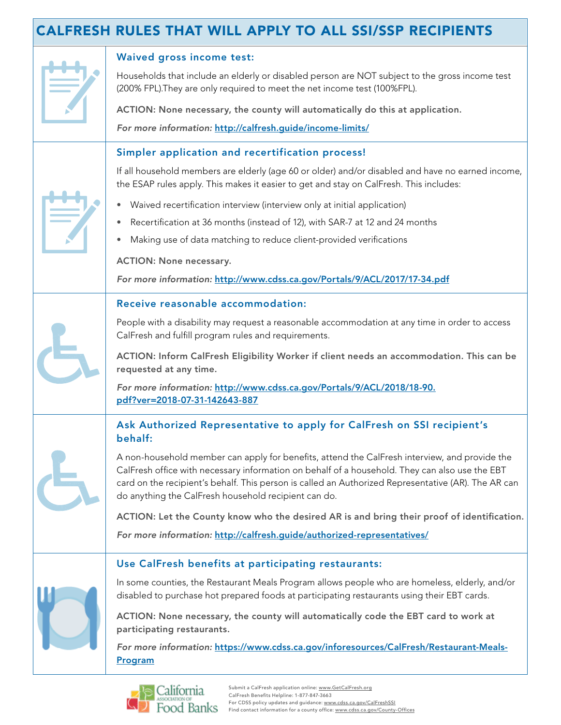## CALFRESH RULES THAT WILL APPLY TO ALL SSI/SSP RECIPIENTS

|  | <b>Waived gross income test:</b><br>Households that include an elderly or disabled person are NOT subject to the gross income test<br>(200% FPL). They are only required to meet the net income test (100% FPL).                                                                                                                                               |
|--|----------------------------------------------------------------------------------------------------------------------------------------------------------------------------------------------------------------------------------------------------------------------------------------------------------------------------------------------------------------|
|  | ACTION: None necessary, the county will automatically do this at application.                                                                                                                                                                                                                                                                                  |
|  | For more information: http://calfresh.guide/income-limits/                                                                                                                                                                                                                                                                                                     |
|  | Simpler application and recertification process!                                                                                                                                                                                                                                                                                                               |
|  | If all household members are elderly (age 60 or older) and/or disabled and have no earned income,<br>the ESAP rules apply. This makes it easier to get and stay on CalFresh. This includes:                                                                                                                                                                    |
|  | Waived recertification interview (interview only at initial application)<br>$\bullet$                                                                                                                                                                                                                                                                          |
|  | Recertification at 36 months (instead of 12), with SAR-7 at 12 and 24 months<br>$\bullet$                                                                                                                                                                                                                                                                      |
|  | Making use of data matching to reduce client-provided verifications<br>$\bullet$                                                                                                                                                                                                                                                                               |
|  | <b>ACTION: None necessary.</b>                                                                                                                                                                                                                                                                                                                                 |
|  | For more information: http://www.cdss.ca.gov/Portals/9/ACL/2017/17-34.pdf                                                                                                                                                                                                                                                                                      |
|  | Receive reasonable accommodation:                                                                                                                                                                                                                                                                                                                              |
|  | People with a disability may request a reasonable accommodation at any time in order to access<br>CalFresh and fulfill program rules and requirements.                                                                                                                                                                                                         |
|  | ACTION: Inform CalFresh Eligibility Worker if client needs an accommodation. This can be<br>requested at any time.                                                                                                                                                                                                                                             |
|  | For more information: http://www.cdss.ca.gov/Portals/9/ACL/2018/18-90.<br>pdf?ver=2018-07-31-142643-887                                                                                                                                                                                                                                                        |
|  | Ask Authorized Representative to apply for CalFresh on SSI recipient's<br>behalf:                                                                                                                                                                                                                                                                              |
|  | A non-household member can apply for benefits, attend the CalFresh interview, and provide the<br>CalFresh office with necessary information on behalf of a household. They can also use the EBT<br>card on the recipient's behalf. This person is called an Authorized Representative (AR). The AR can<br>do anything the CalFresh household recipient can do. |
|  | ACTION: Let the County know who the desired AR is and bring their proof of identification.                                                                                                                                                                                                                                                                     |
|  | For more information: http://calfresh.guide/authorized-representatives/                                                                                                                                                                                                                                                                                        |
|  | Use CalFresh benefits at participating restaurants:                                                                                                                                                                                                                                                                                                            |
|  | In some counties, the Restaurant Meals Program allows people who are homeless, elderly, and/or<br>disabled to purchase hot prepared foods at participating restaurants using their EBT cards.                                                                                                                                                                  |
|  | ACTION: None necessary, the county will automatically code the EBT card to work at<br>participating restaurants.                                                                                                                                                                                                                                               |
|  | For more information: https://www.cdss.ca.gov/inforesources/CalFresh/Restaurant-Meals-<br>Program                                                                                                                                                                                                                                                              |

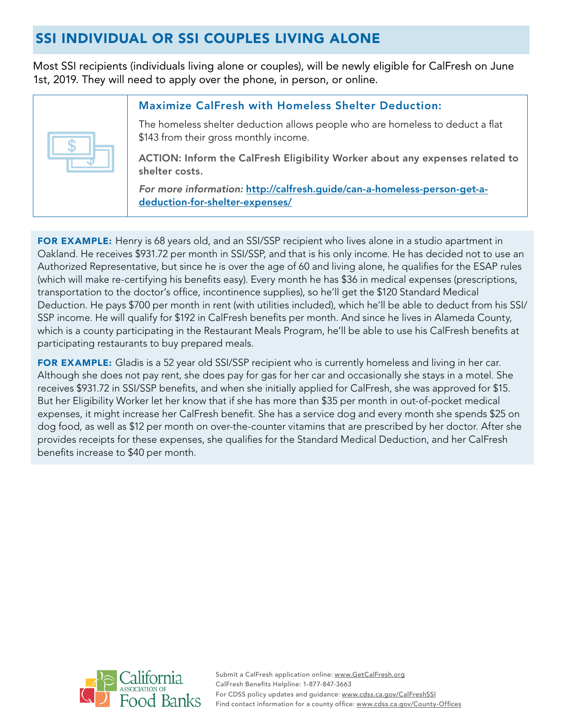## SSI INDIVIDUAL OR SSI COUPLES LIVING ALONE

Most SSI recipients (individuals living alone or couples), will be newly eligible for CalFresh on June 1st, 2019. They will need to apply over the phone, in person, or online.

| \$ |
|----|
|    |

#### Maximize CalFresh with Homeless Shelter Deduction:

The homeless shelter deduction allows people who are homeless to deduct a flat \$143 from their gross monthly income.

ACTION: Inform the CalFresh Eligibility Worker about any expenses related to shelter costs.

*For more information:* [http://calfresh.guide/can-a-homeless-person-get-a](http://calfresh.guide/can-a-homeless-person-get-a-deduction-for-shelter-expenses/)[deduction-for-shelter-expenses/](http://calfresh.guide/can-a-homeless-person-get-a-deduction-for-shelter-expenses/)

FOR EXAMPLE: Henry is 68 years old, and an SSI/SSP recipient who lives alone in a studio apartment in Oakland. He receives \$931.72 per month in SSI/SSP, and that is his only income. He has decided not to use an Authorized Representative, but since he is over the age of 60 and living alone, he qualifies for the ESAP rules (which will make re-certifying his benefits easy). Every month he has \$36 in medical expenses (prescriptions, transportation to the doctor's office, incontinence supplies), so he'll get the \$120 Standard Medical Deduction. He pays \$700 per month in rent (with utilities included), which he'll be able to deduct from his SSI/ SSP income. He will qualify for \$192 in CalFresh benefits per month. And since he lives in Alameda County, which is a county participating in the Restaurant Meals Program, he'll be able to use his CalFresh benefits at participating restaurants to buy prepared meals.

FOR EXAMPLE: Gladis is a 52 year old SSI/SSP recipient who is currently homeless and living in her car. Although she does not pay rent, she does pay for gas for her car and occasionally she stays in a motel. She receives \$931.72 in SSI/SSP benefits, and when she initially applied for CalFresh, she was approved for \$15. But her Eligibility Worker let her know that if she has more than \$35 per month in out-of-pocket medical expenses, it might increase her CalFresh benefit. She has a service dog and every month she spends \$25 on dog food, as well as \$12 per month on over-the-counter vitamins that are prescribed by her doctor. After she provides receipts for these expenses, she qualifies for the Standard Medical Deduction, and her CalFresh benefits increase to \$40 per month.

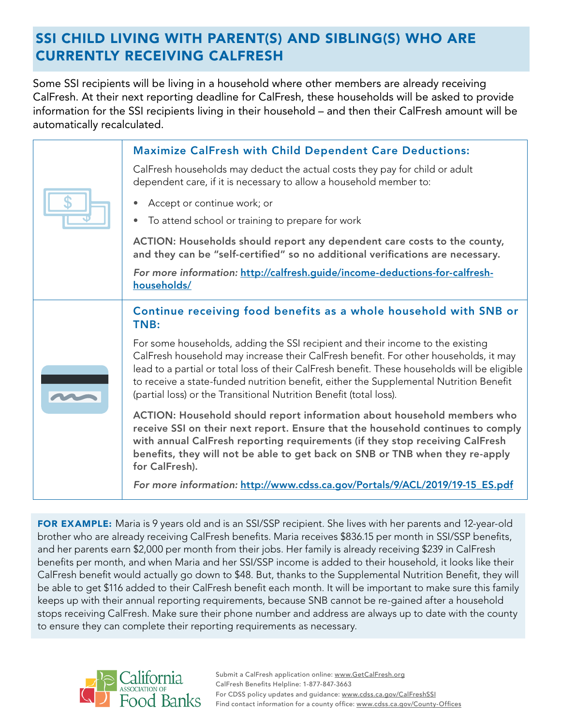## SSI CHILD LIVING WITH PARENT(S) AND SIBLING(S) WHO ARE CURRENTLY RECEIVING CALFRESH

Some SSI recipients will be living in a household where other members are already receiving CalFresh. At their next reporting deadline for CalFresh, these households will be asked to provide information for the SSI recipients living in their household – and then their CalFresh amount will be automatically recalculated.

|  | <b>Maximize CalFresh with Child Dependent Care Deductions:</b><br>CalFresh households may deduct the actual costs they pay for child or adult<br>dependent care, if it is necessary to allow a household member to:                                                                                                                                                                                                                    |
|--|----------------------------------------------------------------------------------------------------------------------------------------------------------------------------------------------------------------------------------------------------------------------------------------------------------------------------------------------------------------------------------------------------------------------------------------|
|  |                                                                                                                                                                                                                                                                                                                                                                                                                                        |
|  |                                                                                                                                                                                                                                                                                                                                                                                                                                        |
|  | Accept or continue work; or                                                                                                                                                                                                                                                                                                                                                                                                            |
|  | To attend school or training to prepare for work                                                                                                                                                                                                                                                                                                                                                                                       |
|  | ACTION: Households should report any dependent care costs to the county,<br>and they can be "self-certified" so no additional verifications are necessary.                                                                                                                                                                                                                                                                             |
|  | For more information: http://calfresh.guide/income-deductions-for-calfresh-<br>households/                                                                                                                                                                                                                                                                                                                                             |
|  | Continue receiving food benefits as a whole household with SNB or<br>TNB:                                                                                                                                                                                                                                                                                                                                                              |
|  | For some households, adding the SSI recipient and their income to the existing<br>CalFresh household may increase their CalFresh benefit. For other households, it may<br>lead to a partial or total loss of their CalFresh benefit. These households will be eligible<br>to receive a state-funded nutrition benefit, either the Supplemental Nutrition Benefit<br>(partial loss) or the Transitional Nutrition Benefit (total loss). |
|  |                                                                                                                                                                                                                                                                                                                                                                                                                                        |
|  | ACTION: Household should report information about household members who<br>receive SSI on their next report. Ensure that the household continues to comply<br>with annual CalFresh reporting requirements (if they stop receiving CalFresh<br>benefits, they will not be able to get back on SNB or TNB when they re-apply<br>for CalFresh).                                                                                           |
|  |                                                                                                                                                                                                                                                                                                                                                                                                                                        |

FOR EXAMPLE: Maria is 9 years old and is an SSI/SSP recipient. She lives with her parents and 12-year-old brother who are already receiving CalFresh benefits. Maria receives \$836.15 per month in SSI/SSP benefits, and her parents earn \$2,000 per month from their jobs. Her family is already receiving \$239 in CalFresh benefits per month, and when Maria and her SSI/SSP income is added to their household, it looks like their CalFresh benefit would actually go down to \$48. But, thanks to the Supplemental Nutrition Benefit, they will be able to get \$116 added to their CalFresh benefit each month. It will be important to make sure this family keeps up with their annual reporting requirements, because SNB cannot be re-gained after a household stops receiving CalFresh. Make sure their phone number and address are always up to date with the county to ensure they can complete their reporting requirements as necessary.

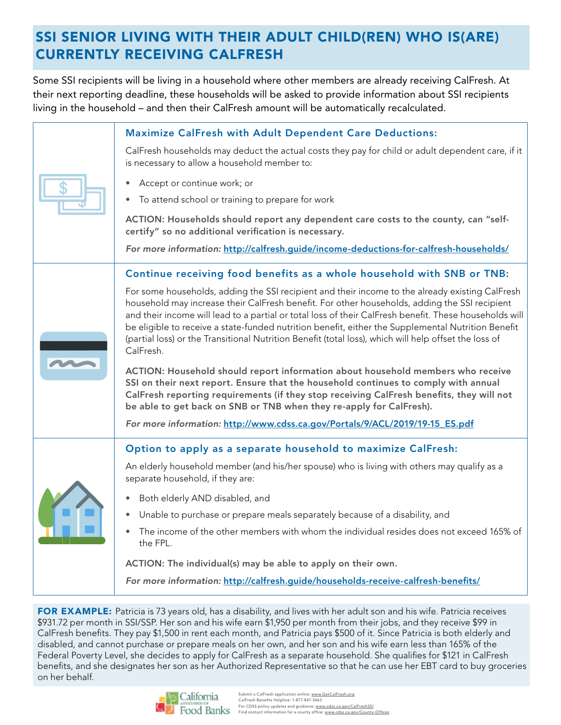## SSI SENIOR LIVING WITH THEIR ADULT CHILD(REN) WHO IS(ARE) CURRENTLY RECEIVING CALFRESH

Some SSI recipients will be living in a household where other members are already receiving CalFresh. At their next reporting deadline, these households will be asked to provide information about SSI recipients living in the household – and then their CalFresh amount will be automatically recalculated.

|  | <b>Maximize CalFresh with Adult Dependent Care Deductions:</b>                                                                                                                                                                                                                                                                                                                                                                                                                                                                         |
|--|----------------------------------------------------------------------------------------------------------------------------------------------------------------------------------------------------------------------------------------------------------------------------------------------------------------------------------------------------------------------------------------------------------------------------------------------------------------------------------------------------------------------------------------|
|  | CalFresh households may deduct the actual costs they pay for child or adult dependent care, if it<br>is necessary to allow a household member to:                                                                                                                                                                                                                                                                                                                                                                                      |
|  | Accept or continue work; or                                                                                                                                                                                                                                                                                                                                                                                                                                                                                                            |
|  | To attend school or training to prepare for work                                                                                                                                                                                                                                                                                                                                                                                                                                                                                       |
|  | ACTION: Households should report any dependent care costs to the county, can "self-<br>certify" so no additional verification is necessary.                                                                                                                                                                                                                                                                                                                                                                                            |
|  | For more information: http://calfresh.guide/income-deductions-for-calfresh-households/                                                                                                                                                                                                                                                                                                                                                                                                                                                 |
|  | Continue receiving food benefits as a whole household with SNB or TNB:                                                                                                                                                                                                                                                                                                                                                                                                                                                                 |
|  | For some households, adding the SSI recipient and their income to the already existing CalFresh<br>household may increase their CalFresh benefit. For other households, adding the SSI recipient<br>and their income will lead to a partial or total loss of their CalFresh benefit. These households will<br>be eligible to receive a state-funded nutrition benefit, either the Supplemental Nutrition Benefit<br>(partial loss) or the Transitional Nutrition Benefit (total loss), which will help offset the loss of<br>CalFresh. |
|  | ACTION: Household should report information about household members who receive<br>SSI on their next report. Ensure that the household continues to comply with annual<br>CalFresh reporting requirements (if they stop receiving CalFresh benefits, they will not<br>be able to get back on SNB or TNB when they re-apply for CalFresh).                                                                                                                                                                                              |
|  | For more information: http://www.cdss.ca.gov/Portals/9/ACL/2019/19-15_ES.pdf                                                                                                                                                                                                                                                                                                                                                                                                                                                           |
|  | Option to apply as a separate household to maximize CalFresh:                                                                                                                                                                                                                                                                                                                                                                                                                                                                          |
|  | An elderly household member (and his/her spouse) who is living with others may qualify as a<br>separate household, if they are:                                                                                                                                                                                                                                                                                                                                                                                                        |
|  | Both elderly AND disabled, and                                                                                                                                                                                                                                                                                                                                                                                                                                                                                                         |
|  | Unable to purchase or prepare meals separately because of a disability, and                                                                                                                                                                                                                                                                                                                                                                                                                                                            |
|  | The income of the other members with whom the individual resides does not exceed 165% of<br>the FPL.                                                                                                                                                                                                                                                                                                                                                                                                                                   |
|  | ACTION: The individual(s) may be able to apply on their own.                                                                                                                                                                                                                                                                                                                                                                                                                                                                           |
|  | For more information: http://calfresh.quide/households-receive-calfresh-benefits/                                                                                                                                                                                                                                                                                                                                                                                                                                                      |
|  |                                                                                                                                                                                                                                                                                                                                                                                                                                                                                                                                        |

FOR EXAMPLE: Patricia is 73 years old, has a disability, and lives with her adult son and his wife. Patricia receives \$931.72 per month in SSI/SSP. Her son and his wife earn \$1,950 per month from their jobs, and they receive \$99 in CalFresh benefits. They pay \$1,500 in rent each month, and Patricia pays \$500 of it. Since Patricia is both elderly and disabled, and cannot purchase or prepare meals on her own, and her son and his wife earn less than 165% of the Federal Poverty Level, she decides to apply for CalFresh as a separate household. She qualifies for \$121 in CalFresh benefits, and she designates her son as her Authorized Representative so that he can use her EBT card to buy groceries on her behalf.